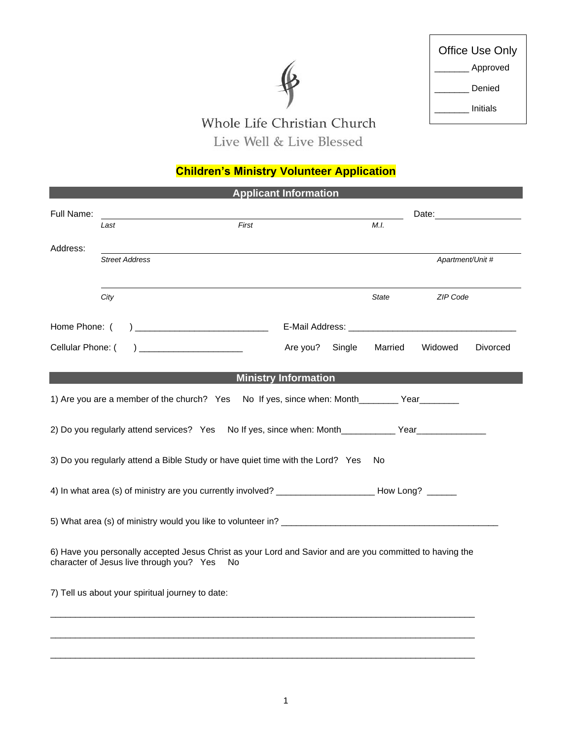# $\mathbf{\ell}$

| Office Use Only |
|-----------------|
| Approved        |
| Denied          |
| Initials        |

Г

# Whole Life Christian Church Live Well & Live Blessed

## **Children's Ministry Volunteer Application**

| <b>Applicant Information</b> |                                                                                                                                                      |       |                                                         |        |                  |                                                                                                                                                                                                                                |          |
|------------------------------|------------------------------------------------------------------------------------------------------------------------------------------------------|-------|---------------------------------------------------------|--------|------------------|--------------------------------------------------------------------------------------------------------------------------------------------------------------------------------------------------------------------------------|----------|
| Full Name:                   |                                                                                                                                                      |       |                                                         |        |                  | Date: the contract of the contract of the contract of the contract of the contract of the contract of the contract of the contract of the contract of the contract of the contract of the contract of the contract of the cont |          |
|                              | Last                                                                                                                                                 | First |                                                         |        | M.I.             |                                                                                                                                                                                                                                |          |
| Address:                     | <b>Street Address</b>                                                                                                                                |       |                                                         |        | Apartment/Unit # |                                                                                                                                                                                                                                |          |
|                              | City                                                                                                                                                 |       |                                                         |        | <b>State</b>     | ZIP Code                                                                                                                                                                                                                       |          |
| Home Phone: (                |                                                                                                                                                      |       |                                                         |        |                  |                                                                                                                                                                                                                                |          |
| Cellular Phone: (            |                                                                                                                                                      |       | Are you?                                                | Single | Married          | Widowed                                                                                                                                                                                                                        | Divorced |
|                              |                                                                                                                                                      |       | <b>Ministry Information</b>                             |        |                  |                                                                                                                                                                                                                                |          |
|                              | 1) Are you are a member of the church? Yes                                                                                                           |       | No If yes, since when: Month____________ Year__________ |        |                  |                                                                                                                                                                                                                                |          |
|                              | 2) Do you regularly attend services? Yes No If yes, since when: Month___________ Year______________                                                  |       |                                                         |        |                  |                                                                                                                                                                                                                                |          |
|                              | 3) Do you regularly attend a Bible Study or have quiet time with the Lord? Yes                                                                       |       |                                                         |        | No.              |                                                                                                                                                                                                                                |          |
|                              | 4) In what area (s) of ministry are you currently involved? __________________________How Long? _______                                              |       |                                                         |        |                  |                                                                                                                                                                                                                                |          |
|                              |                                                                                                                                                      |       |                                                         |        |                  |                                                                                                                                                                                                                                |          |
|                              | 6) Have you personally accepted Jesus Christ as your Lord and Savior and are you committed to having the<br>character of Jesus live through you? Yes | No    |                                                         |        |                  |                                                                                                                                                                                                                                |          |
|                              | 7) Tell us about your spiritual journey to date:                                                                                                     |       |                                                         |        |                  |                                                                                                                                                                                                                                |          |
|                              |                                                                                                                                                      |       |                                                         |        |                  |                                                                                                                                                                                                                                |          |
|                              |                                                                                                                                                      |       |                                                         |        |                  |                                                                                                                                                                                                                                |          |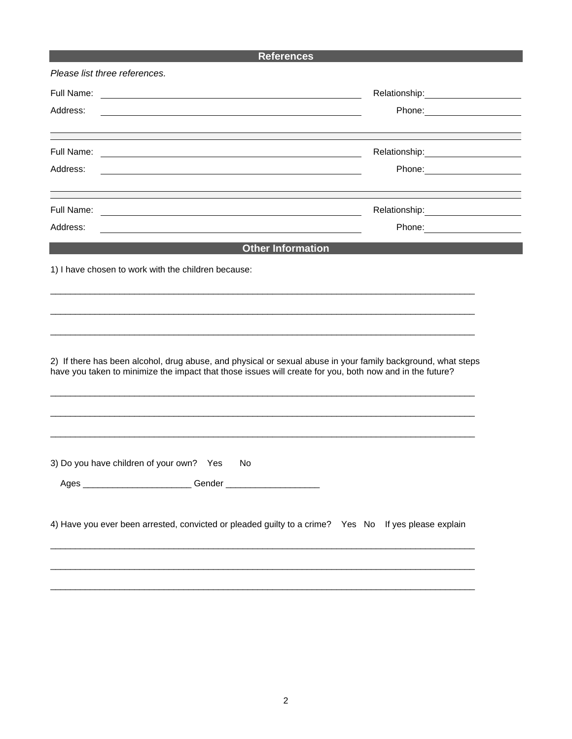## **References**

| Full Name:<br><u> 2000 - Jan James Alexandri, prima de la propia de la propia de la propia de la propia de la propia de la pro</u><br><b>Other Information</b><br>No.<br>Gender                                                                                      |                                                     | Relationship: 2000<br>Phone: 2000 |
|----------------------------------------------------------------------------------------------------------------------------------------------------------------------------------------------------------------------------------------------------------------------|-----------------------------------------------------|-----------------------------------|
| Address:                                                                                                                                                                                                                                                             |                                                     |                                   |
|                                                                                                                                                                                                                                                                      |                                                     |                                   |
| Full Name:<br>Address:<br>Full Name:<br>Address:                                                                                                                                                                                                                     |                                                     |                                   |
|                                                                                                                                                                                                                                                                      |                                                     |                                   |
|                                                                                                                                                                                                                                                                      |                                                     |                                   |
|                                                                                                                                                                                                                                                                      |                                                     |                                   |
| 2) If there has been alcohol, drug abuse, and physical or sexual abuse in your family background, what steps<br>have you taken to minimize the impact that those issues will create for you, both now and in the future?<br>3) Do you have children of your own? Yes | 1) I have chosen to work with the children because: |                                   |
|                                                                                                                                                                                                                                                                      |                                                     |                                   |
|                                                                                                                                                                                                                                                                      |                                                     |                                   |
|                                                                                                                                                                                                                                                                      |                                                     |                                   |
|                                                                                                                                                                                                                                                                      |                                                     |                                   |
|                                                                                                                                                                                                                                                                      |                                                     |                                   |
|                                                                                                                                                                                                                                                                      |                                                     |                                   |
|                                                                                                                                                                                                                                                                      |                                                     |                                   |
|                                                                                                                                                                                                                                                                      |                                                     |                                   |
|                                                                                                                                                                                                                                                                      |                                                     |                                   |
|                                                                                                                                                                                                                                                                      |                                                     |                                   |
|                                                                                                                                                                                                                                                                      |                                                     |                                   |
|                                                                                                                                                                                                                                                                      |                                                     |                                   |
|                                                                                                                                                                                                                                                                      |                                                     |                                   |
|                                                                                                                                                                                                                                                                      |                                                     |                                   |
|                                                                                                                                                                                                                                                                      |                                                     |                                   |
|                                                                                                                                                                                                                                                                      |                                                     |                                   |
|                                                                                                                                                                                                                                                                      |                                                     |                                   |
| 4) Have you ever been arrested, convicted or pleaded guilty to a crime? Yes No If yes please explain                                                                                                                                                                 |                                                     |                                   |
|                                                                                                                                                                                                                                                                      |                                                     |                                   |
|                                                                                                                                                                                                                                                                      |                                                     |                                   |

\_\_\_\_\_\_\_\_\_\_\_\_\_\_\_\_\_\_\_\_\_\_\_\_\_\_\_\_\_\_\_\_\_\_\_\_\_\_\_\_\_\_\_\_\_\_\_\_\_\_\_\_\_\_\_\_\_\_\_\_\_\_\_\_\_\_\_\_\_\_\_\_\_\_\_\_\_\_\_\_\_\_\_\_\_\_